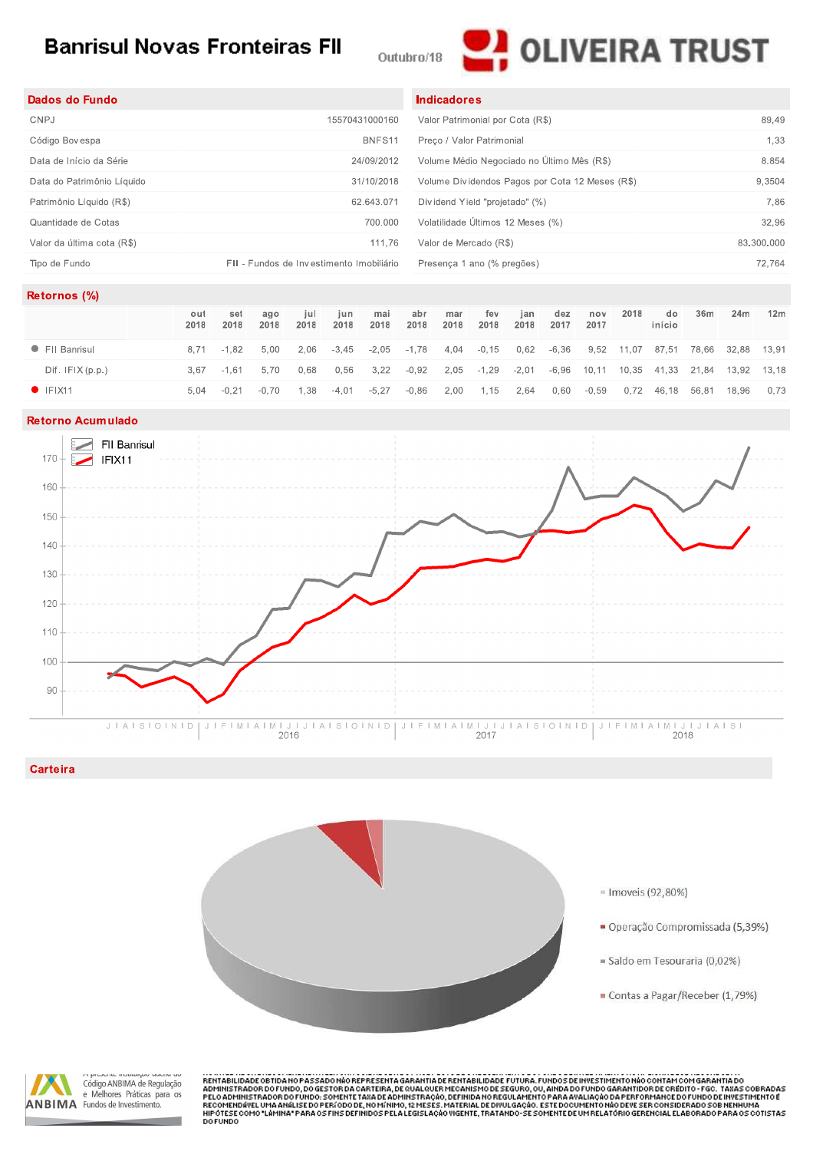# **Banrisul Novas Fronteiras FII**





| Dados do Fundo             |                                          | <b>Indicadores</b>                              |            |
|----------------------------|------------------------------------------|-------------------------------------------------|------------|
| CNPJ                       | 15570431000160                           | Valor Patrimonial por Cota (R\$)                | 89.49      |
| Código Bovespa             | BNFS11                                   | Preco / Valor Patrimonial                       | 1,33       |
| Data de Início da Série    | 24/09/2012                               | Volume Médio Negociado no Último Mês (R\$)      | 8.854      |
| Data do Patrimônio Líquido | 31/10/2018                               | Volume Dividendos Pagos por Cota 12 Meses (R\$) | 9,3504     |
| Patrimônio Líquido (R\$)   | 62.643.071                               | Dividend Yield "projetado" (%)                  | 7.86       |
| Quantidade de Cotas        | 700.000                                  | Volatilidade Últimos 12 Meses (%)               | 32,96      |
| Valor da última cota (R\$) | 111.76                                   | Valor de Mercado (R\$)                          | 83.300.000 |
| Tipo de Fundo              | FII - Fundos de Investimento Imobiliário | Presença 1 ano (% pregões)                      | 72.764     |

#### Retornos (%)

|                  | out<br>2018 | set<br>2018 | ago<br>2018    | iul<br>2018 | iun.<br>2018                                                                    | mai<br>2018   | abr<br>2018                                                                | mar<br>2018 | fev<br>2018    | ian<br>2018 | dez<br>2017 | nov<br>2017 | 2018 | do<br>início                      | 36m | 24m | 12 <sub>m</sub> |
|------------------|-------------|-------------|----------------|-------------|---------------------------------------------------------------------------------|---------------|----------------------------------------------------------------------------|-------------|----------------|-------------|-------------|-------------|------|-----------------------------------|-----|-----|-----------------|
| • FII Banrisul   |             | 8.71 - 1.82 | 5.00           |             | 2,06 -3,45 -2,05 -1,78 4,04 -0,15 0,62 -6,36 9,52 11,07 87,51 78,66 32,88 13,91 |               |                                                                            |             |                |             |             |             |      |                                   |     |     |                 |
| Diff. IFIX(p.p.) | 367         | -1.61       | 5.70           | 0.68        | 0,56                                                                            | 3,22          | -0.92  2.05  -1.29  -2.01  -6.96  10.11  10.35  41.33  21.84  13.92  13.18 |             |                |             |             |             |      |                                   |     |     |                 |
| $\bullet$ IFIX11 | 5.04        |             | $-0.21 - 0.70$ | 1.38        |                                                                                 | $-4.01 -5.27$ | -0.86                                                                      |             | 2,00 1,15 2,64 |             |             |             |      | 0.60 -0.59 0.72 46.18 56.81 18.96 |     |     | 0.73            |

### Retorno Acumulado



#### Carteira





RENTABILIDADE OBTIDA NO PASSADO NÃO REPRESENTA GARANTIA DE RENTABILIDADE FUTURA, FUNDOS DE INVESTIMENTO NÃO CONTAM COM GARANTIA DO<br>ADMINISTRADOR DO FUNDO, DO GESTOR DA CARTEIRA, DE QUAL QUER MECANISMO DE SEGURO, OU, AINDA